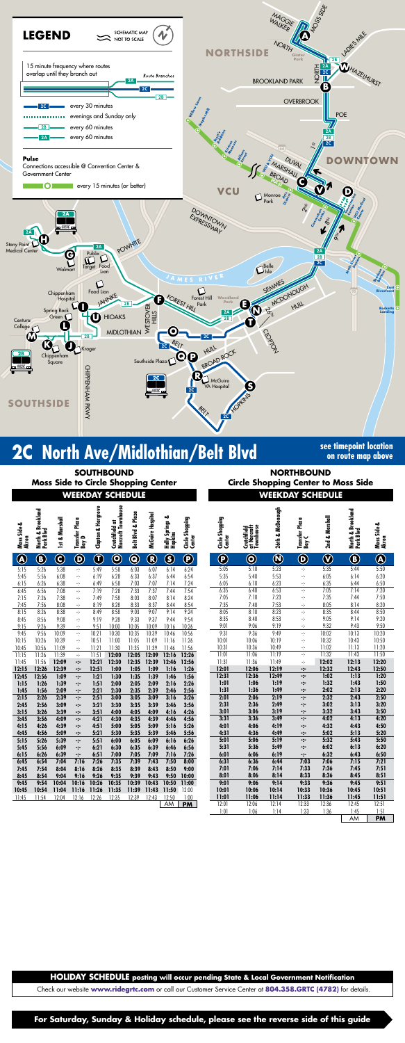

# **2C** North Ave/Midlothian/Belt Blvd **See timepoint location**

**For Saturday, Sunday & Holiday schedule, please see the reverse side of this guide**

**on route map above**

| <b>SOUTHBOUND</b><br>Moss Side to Circle Shopping Center |                                |                         |                         |                         |                                      |                         |                                       |                            | <b>NC</b><br><b>Circle Shoppi</b> |                           |                                         |                             |
|----------------------------------------------------------|--------------------------------|-------------------------|-------------------------|-------------------------|--------------------------------------|-------------------------|---------------------------------------|----------------------------|-----------------------------------|---------------------------|-----------------------------------------|-----------------------------|
| <b>WEEKDAY SCHEDULE</b>                                  |                                |                         |                         |                         |                                      |                         |                                       |                            |                                   |                           |                                         | <b>WEEK</b>                 |
| Moss Side &<br>Akron                                     | North & Brookland<br>Park Blvd | 1st & Marshall          | Transfer Plaza<br>Bay D | Clopton & Hargrove      | Crutchfield at<br>Norcroft Townhouse | Belt Blvd & Plaza       | McGuire Hospital                      | Holly Springs &<br>Hopkins | Circle Shopping<br>Center         | Circle Shopping<br>Center | Crutchfield<br>at Norcroft<br>Townhouse | 26th & McDonough            |
| $\bigcirc\hspace{-1.45pt}$                               | $\bigcirc$                     | $\overline{\mathbf{C}}$ | $\bf \Theta$            | $\overline{\textbf{O}}$ | $\overline{\mathbf{O}}$              | $\overline{\mathbf{Q}}$ | $\overline{\textcircled{\textbf{R}}}$ | $\circledS$                | $\overline{\bm{\Theta}}$          | $\textcircled{\small{P}}$ | $\overline{\mathbf{O}}$                 | $\overline{\textbf{O}}$     |
| 5:15<br>5:45                                             | 5:26<br>5:56                   | 5:38<br>6:08            | ÷<br>÷                  | 5:49<br>6:19            | 5:58<br>6:28                         | 6:03<br>6:33            | 6:07<br>6:37                          | 6:14<br>6:44               | 6:24<br>6:54                      | 5:05<br>5:35              | 5:10<br>5:40                            | 5:23<br>5:53                |
| 6:15<br>6:45<br>7:15                                     | 6:26<br>6:56<br>7:26           | 6:38<br>7:08<br>7:38    | ÷<br>÷<br>÷             | 6:49<br>7:19<br>7:49    | 6:58<br>7:28<br>7:58                 | 7:03<br>7:33<br>8:03    | 7:07<br>7:37<br>8:07                  | 7:14<br>7:44<br>8:14       | 7:24<br>7:54<br>8:24              | 6:05<br>6:35<br>7:05      | 6:10<br>6:40<br>7:10                    | $rac{6:23}{6:53}$<br>7:23   |
| 7:45                                                     | 7:56                           | 8:08                    | $\frac{1}{2}$           | 8:19                    | 8:28                                 | 8:33                    | 8:37                                  | 8:44                       | 8:54                              | 7:35                      | 7:40                                    | 7:53                        |
| 8:15<br>8:45                                             | 8:26<br>8:56                   | 8:38<br>9:08            | ÷<br>÷                  | 8:49<br>9:19            | 8:58<br>9:28                         | 9:03<br>9:33            | 9:07<br>9:37                          | 9:14<br>9:44               | 9:24<br>9:54                      | 8:05<br>8:35              | 8:10<br>8:40                            | 8:23<br>8:53                |
| 9:15<br>9:45                                             | 9:26<br>9:56                   | 9:39<br>10:09           | ÷<br>$\gamma$           | 9:51<br>10:21           | 10:00<br>10:30                       | 10:05<br>10:35          | 10:09<br>10:39                        | 10:16<br>10:46             | 10:26<br>10:56                    | 9:01<br>9:31              | 9:06<br>9:36                            | 9:19<br>9:49                |
| 10:15<br>10:45                                           | 10:26<br>10:56                 | 10:39<br>11:09          | ÷<br>÷                  | 10:51<br>11:21          | 11:00<br>11:30                       | 11:05<br>11:35          | 11:09<br>11:39                        | 11:16<br>11:46             | 11:26<br>11:56                    | 10:01<br>10:31            | 10:06<br>10:36                          | 10:19<br>10:49              |
| 11:15<br>11:45                                           | 11:26<br>11:56                 | 11:39<br>12:09          | ÷<br>∹:                 | 11:51<br>12:21          | 12:00<br>12:30                       | 12:05<br>12:35          | 12:09<br>12:39                        | 12:16<br>12:46             | 12:26<br>12:56                    | 11:01<br>11:31            | 11:06<br>11:36                          | 11:19<br>11:49              |
| 12:15                                                    | 12:26                          | 12:39                   | ⊹                       | 12:51                   | 1:00                                 | 1:05                    | 1:09                                  | 1:16                       | 1:26                              | 12:01                     | 12:06                                   | $\frac{12:19}{12:49}$       |
| 12:45<br>1:15<br>1:45                                    | 12:56<br>1:26<br>1:56          | 1:09<br>1:39<br>2:09    | ∹:<br>⊹<br>÷            | 1:21<br>1:51<br>2:21    | 1:30<br>2:00<br>2:30                 | 1:35<br>2:05<br>2:35    | 1:39<br>2:09<br>2:39                  | 1:46<br>2:16<br>2:46       | 1:56<br>2:26<br>2:56              | 12:31<br>1:01<br>1:31     | 12:36<br>1:06<br>1:36                   | 1:19<br>1:49                |
| 2:15<br>2:45                                             | 2:26<br>2:56                   | 2:39<br>3:09            | ∹:<br>÷                 | 2:51<br>3:21            | 3:00<br>3:30                         | 3:05<br>3:35            | 3:09<br>3:39                          | 3:16<br>3:46               | 3:26<br>3:56                      | 2:01<br>2:31              | 2:06<br>2:36                            | 2:19<br>2:49                |
| 3:15<br>3:45                                             | 3:26<br>3:56                   | 3:39<br>4:09            | ∹:<br>∹:                | 3:51<br>4:21            | 4:00<br>4:30                         | 4:05<br>4:35            | 4:09<br>4:39                          | 4:16<br>4:46               | 4:26<br>4:56                      | 3:01<br>3:31              | 3:06<br>3:36                            | 3:19<br>3:49                |
| 4:15<br>4:45                                             | 4:26<br>4:56                   | 4:39<br>5:09            | ∹.<br>∹                 | 4:51<br>5:21            | 5:00<br>5:30                         | 5:05<br>5:35            | 5:09<br>5:39                          | 5:16<br>5:46               | 5:26<br>5:56                      | 4:01<br>4:31              | 4:06<br>4:36                            | 4:19<br>$\frac{4:49}{5:19}$ |
| 5:15<br>5:45                                             | 5:26<br>5:56                   | 5:39<br>6:09            | ∹:<br>∹.                | 5:51<br>6:21            | 6:00<br>6:30                         | 6:05<br>6:35            | 6:09<br>6:39                          | 6:16<br>6:46               | 6:26<br>6:56                      | 5:01<br>5:31              | 5:06<br>5:36                            | 5:49                        |
| 6:15<br>6:45                                             | 6:26<br>6:54                   | 6:39<br>7:04            | ÷<br>7:16               | 6:51<br>7:26            | 7:00<br>7:35                         | 7:05<br>7:39            | 7:09<br>7:43                          | 7:16<br>7:50               | 7:26<br>8:00                      | 6:01<br>6:31              | 6:06<br>6:36                            | 6:19<br>6:44                |
| 7:45<br>8:45                                             | 7:54<br>8:54                   | 8:04<br>9:04            | 8:16<br>9:16            | 8:26<br>9:26            | 8:35<br>9:35                         | 8:39<br>9:39            | 8:43<br>9:43                          | 8:50<br>9:50               | 9:00<br>10:00                     | 7:01<br>8:01              | 7:06<br>8:06                            | 7:14<br>8:14                |
| 9:45<br>10:45                                            | 9:54<br>10:54                  | 10:04<br>11:04          | 10:16<br>11:16          | 10:26<br>11:26          | 10:35<br>11:35                       | 10:39<br>11:39          | 10:43<br>11:43                        | 10:50<br>11:50             | 11:00<br>12:00                    | 9:01<br>10:01             | 9:06<br>10:06                           | 9:14<br>10:14               |
| 11:45                                                    | 11:54                          | 12:04                   | 12:16                   | 12:26                   | 12:35                                | 12:39                   | 12:43                                 | 12:50<br>AM                | 1:00<br><b>PM</b>                 | 11:01<br>12:01            | 11:06<br>12:06                          | 11:14<br>12:14              |
|                                                          |                                |                         |                         |                         |                                      |                         |                                       |                            |                                   |                           |                                         |                             |

**WEEKDAY SCHEDULE WEEKDAY SCHEDULE NORTHBOUND Circle Shopping Center to Moss Side**

Check our website **www.ridegrtc.com** or call our Customer Service Center at **804.358.GRTC (4782)** for details.

| Circle Shopping<br>Center | at Norcroft<br>Townhouse<br>Crutchfield | 26th & McDonough | Transfer Plaza<br>Bay C | 2nd & Marshall         | North & Brookland<br>Park Blvd | Moss Side &<br>Akron  |
|---------------------------|-----------------------------------------|------------------|-------------------------|------------------------|--------------------------------|-----------------------|
| $\overline{\mathbf{P}}$   | <b>O</b>                                | $\bf{Q}$         | $\bf \Phi$              | $\widehat{\textbf{V}}$ | G)                             | $\boldsymbol{\Omega}$ |
| 5:05                      | 5:10                                    | 5:23             | ÷                       | 5:35                   | 5:44                           | 5:50                  |
| 5:35                      | 5:40                                    | 5:53             | ÷                       | 6:05                   | 6:14                           | 6:20                  |
| 6:05                      | 6:10                                    | 6:23             | ÷                       | 6:35                   | 6:44                           | 6:50                  |
| 6:35                      | 6:40                                    | 6:53             | ÷                       | 7:05                   | 7:14                           | 7:20                  |
| 7:05                      | 7:10                                    | 7:23             | ÷                       | 7:35                   | 7:44                           | 7:50                  |
| 7:35                      | 7:40                                    | 7:53             | ÷                       | 8:05                   | 8:14                           | 8:20                  |
| 8:05                      | 8:10                                    | 8:23             | ÷                       | 8:35                   | 8:44                           | 8:50                  |
| 8:35                      | 8:40                                    | 8:53             | ÷                       | 9:05                   | 9:14                           | 9:20                  |
| 9:01                      | 9:06                                    | 9:19             | ÷                       | 9:32                   | 9:43                           | 9:50                  |
| 9:31                      | 9:36                                    | 9:49             | ÷                       | 10:02                  | 10:13                          | 10:20                 |
| 10:01                     | 10:06                                   | 10:19            | ÷                       | 10:32                  | 10:43                          | 10:50                 |
| 10:31                     | 10:36                                   | 10:49            | ÷                       | 11:02                  | 11:13                          | 11:20                 |
| 11:01                     | 11:06                                   | 11:19            | ÷                       | 11:32                  | 11:43                          | 11:50                 |
| 11:31                     | 11:36                                   | 11:49            | ÷                       | 12:02                  | 12:13                          | 12:20                 |
| 12:01<br>12:31            | 12:06                                   | 12:19            | ∹.                      | 12:32                  | 12:43                          | 12:50                 |
|                           | 12:36                                   | 12:49            | ∹:                      | 1:02                   | 1:13                           | 1:20                  |
| 1:01                      | 1:06                                    | 1:19             | ∹:                      | 1:32                   | 1:43<br>2:13                   | 1:50<br>2:20          |
| 1:31<br>2:01              | 1:36<br>2:06                            | 1:49<br>2:19     | ∹∹                      | 2:02<br>2:32           | 2:43                           | 2:50                  |
| 2:31                      | 2:36                                    | 2:49             | ∹:<br>∹:                | 3:02                   | 3:13                           | 3:20                  |
| 3:01                      | 3:06                                    | 3:19             | ∹:                      | 3:32                   | 3:43                           | 3:50                  |
| 3:31                      | 3:36                                    | 3:49             | ∹:                      | 4:02                   | 4:13                           | 4:20                  |
| 4:01                      | 4:06                                    | 4:19             | ∹:                      | 4:32                   | 4:43                           | 4:50                  |
| 4:31                      | 4:36                                    | 4:49             | ∹:                      | 5:02                   | 5:13                           | 5:20                  |
| 5:01                      | 5:06                                    | 5:19             | ∹:                      | 5:32                   | 5:43                           | 5:50                  |
| 5:31                      | 5:36                                    | 5:49             | ∹-                      | 6:02                   | 6:13                           | 6:20                  |
| 6:01                      | 6:06                                    | 6:19             | ∹-                      | 6:32                   | 6:43                           | 6:50                  |
| 6:31                      | 6:36                                    | 6:44             | 7:03                    | 7:06                   | 7:15                           | 7:21                  |
| 7:01                      | 7:06                                    | 7:14             | 7:33                    | 7:36                   | 7:45                           | 7:51                  |
| 8:01                      | 8:06                                    | 8:14             | 8:33                    | 8:36                   | 8:45                           | 8:51                  |
| 9:01                      | 9:06                                    | 9:14             | 9:33                    | 9:36                   | 9:45                           | 9:51                  |
| 10:01                     | 10:06                                   | 10:14            | 10:33                   | 10:36                  | 10:45                          | 10:51                 |
| 11:01                     | 11:06                                   | 11:14            | 11:33                   | 11:36                  | 11:45                          | 11:51                 |
| 12:01                     | 12:06                                   | 12:14            | 12:33                   | 12:36                  | 12:45                          | 12:51                 |
| 1:01                      | 1:06                                    | 1:14             | 1:33                    | 1:36                   | 1:45                           | 1:51                  |
|                           |                                         |                  |                         |                        | AM                             | <b>PM</b>             |

**HOLIDAY SCHEDULE** posting will occur pending State & Local Government Notification